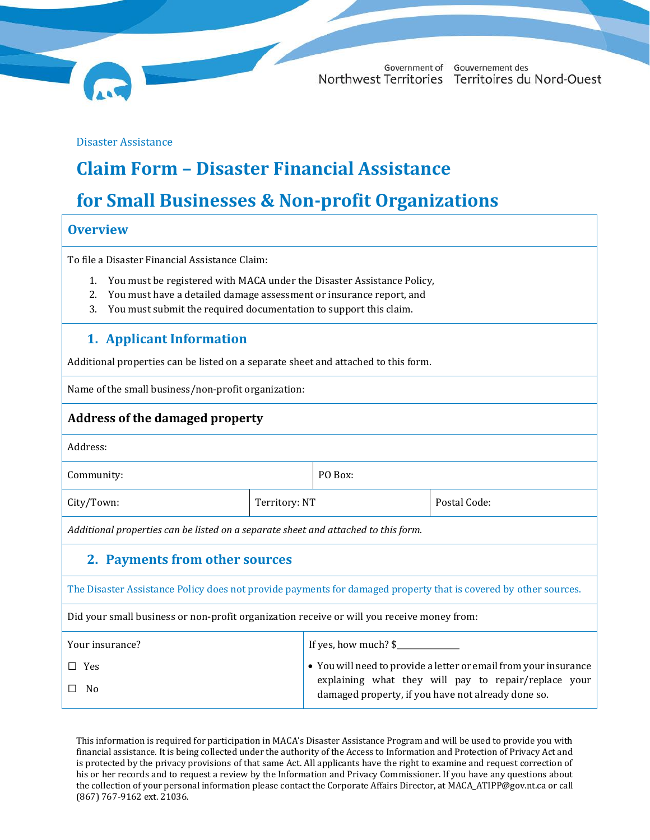

Government of Gouvernement des Northwest Territories Territoires du Nord-Ouest

Disaster Assistance

# **Claim Form – Disaster Financial Assistance**

## **for Small Businesses & Non-profit Organizations**

#### **Overview**

To file a Disaster Financial Assistance Claim:

- 1. You must be registered with MACA under the Disaster Assistance Policy,
- 2. You must have a detailed damage assessment or insurance report, and
- 3. You must submit the required documentation to support this claim.

## **1. Applicant Information**

Additional properties can be listed on a separate sheet and attached to this form.

Name of the small business/non-profit organization:

#### **Address of the damaged property**

| Address: |
|----------|
|----------|

Community: PO Box:

City/Town: Territory: NT Postal Code:

*Additional properties can be listed on a separate sheet and attached to this form.*

## **2. Payments from other sources**

The Disaster Assistance Policy does not provide payments for damaged property that is covered by other sources.

Did your small business or non-profit organization receive or will you receive money from:

| If yes, how much? $\frac{1}{2}$<br>Your insurance?                            |                                                                                                                          |
|-------------------------------------------------------------------------------|--------------------------------------------------------------------------------------------------------------------------|
| $\Box$ Yes<br>$\Box$ No<br>damaged property, if you have not already done so. | • You will need to provide a letter or email from your insurance<br>explaining what they will pay to repair/replace your |

This information is required for participation in MACA's Disaster Assistance Program and will be used to provide you with financial assistance. It is being collected under the authority of the Access to Information and Protection of Privacy Act and is protected by the privacy provisions of that same Act. All applicants have the right to examine and request correction of his or her records and to request a review by the Information and Privacy Commissioner. If you have any questions about the collection of your personal information please contact the Corporate Affairs Director, a[t MACA\\_ATIPP@gov.nt.ca](mailto:MACA_ATIPP@gov.nt.ca) or call (867) 767-9162 ext. 21036.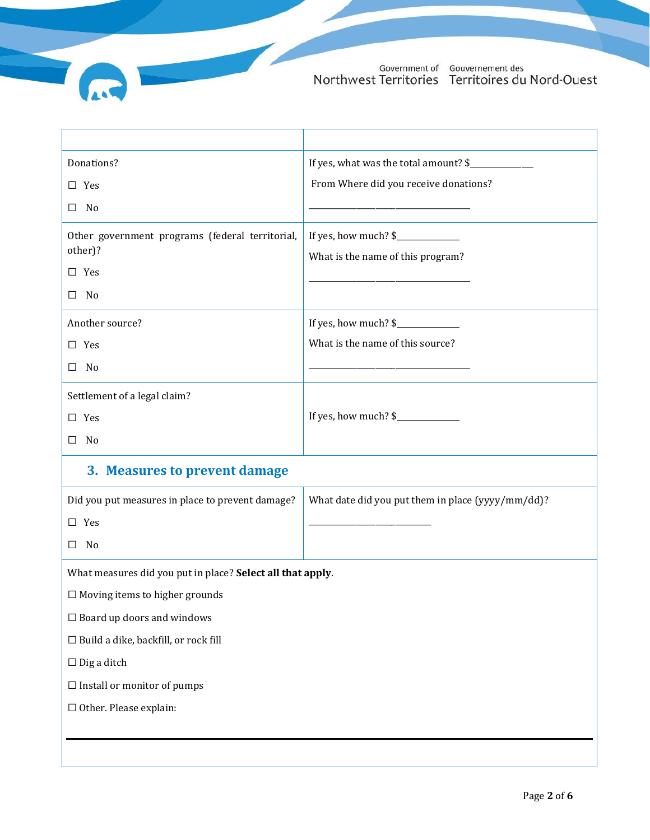Government of Gouvernement des<br>Northwest Territories Territoires du Nord-Ouest

| Donations?                                                 | If yes, what was the total amount? \$                     |  |  |  |  |
|------------------------------------------------------------|-----------------------------------------------------------|--|--|--|--|
| $\Box$ Yes                                                 | From Where did you receive donations?                     |  |  |  |  |
| $\square$ No                                               |                                                           |  |  |  |  |
| Other government programs (federal territorial,<br>other)? | If yes, how much? \$<br>What is the name of this program? |  |  |  |  |
| $\square$ Yes                                              |                                                           |  |  |  |  |
| $\square$ No                                               |                                                           |  |  |  |  |
| Another source?<br>$\square$ Yes<br>$\square$ No           | If yes, how much? \$<br>What is the name of this source?  |  |  |  |  |
| Settlement of a legal claim?                               |                                                           |  |  |  |  |
| $\square$ Yes                                              | If yes, how much? \$                                      |  |  |  |  |
| $\square$ No                                               |                                                           |  |  |  |  |
| 3. Measures to prevent damage                              |                                                           |  |  |  |  |
| Did you put measures in place to prevent damage?           | What date did you put them in place (yyyy/mm/dd)?         |  |  |  |  |
| $\square$ Yes                                              |                                                           |  |  |  |  |
| $\square$ No                                               |                                                           |  |  |  |  |
| What measures did you put in place? Select all that apply. |                                                           |  |  |  |  |
| $\Box$ Moving items to higher grounds                      |                                                           |  |  |  |  |
| $\Box$ Board up doors and windows                          |                                                           |  |  |  |  |
| $\Box$ Build a dike, backfill, or rock fill                |                                                           |  |  |  |  |
| $\Box$ Dig a ditch                                         |                                                           |  |  |  |  |
| $\Box$ Install or monitor of pumps                         |                                                           |  |  |  |  |
| $\Box$ Other. Please explain:                              |                                                           |  |  |  |  |
|                                                            |                                                           |  |  |  |  |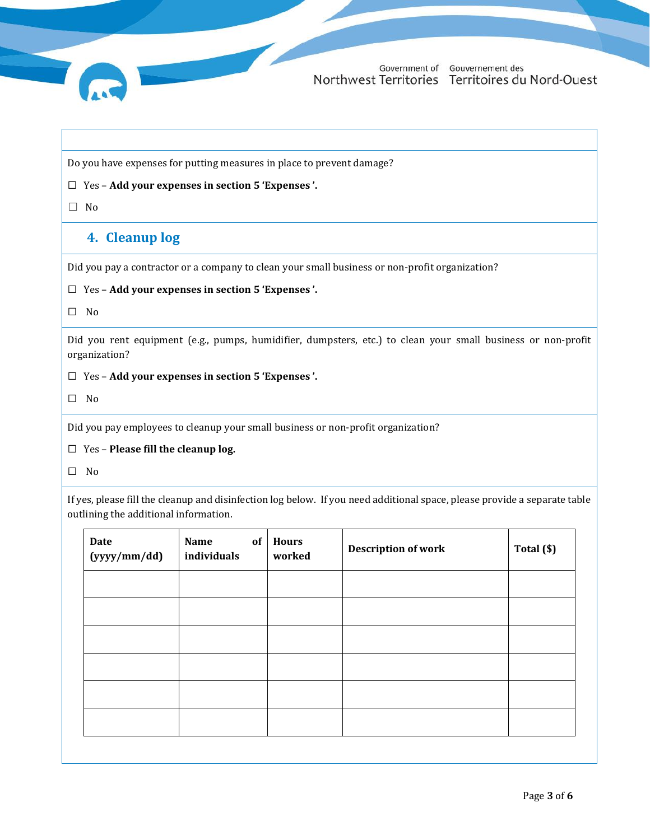

Do you have expenses for putting measures in place to prevent damage?

#### ☐ Yes – **Add your expenses in section [5](#page-3-0) '[Expenses](#page-3-0) '.**

☐ No

#### **4. Cleanup log**

Did you pay a contractor or a company to clean your small business or non-profit organization?

#### ☐ Yes – **Add your expenses in section [5](#page-3-0) '[Expenses](#page-3-0) '.**

☐ No

Did you rent equipment (e.g., pumps, humidifier, dumpsters, etc.) to clean your small business or non-profit organization?

☐ Yes – **Add your expenses in section [5](#page-3-0) '[Expenses](#page-3-0) '.**

☐ No

Did you pay employees to cleanup your small business or non-profit organization?

☐ Yes – **Please fill the cleanup log.**

☐ No

If yes, please fill the cleanup and disinfection log below. If you need additional space, please provide a separate table outlining the additional information.

| Name<br>individuals | <b>Hours</b><br>worked | <b>Description of work</b> | Total (\$) |
|---------------------|------------------------|----------------------------|------------|
|                     |                        |                            |            |
|                     |                        |                            |            |
|                     |                        |                            |            |
|                     |                        |                            |            |
|                     |                        |                            |            |
|                     |                        |                            |            |
|                     |                        | of                         |            |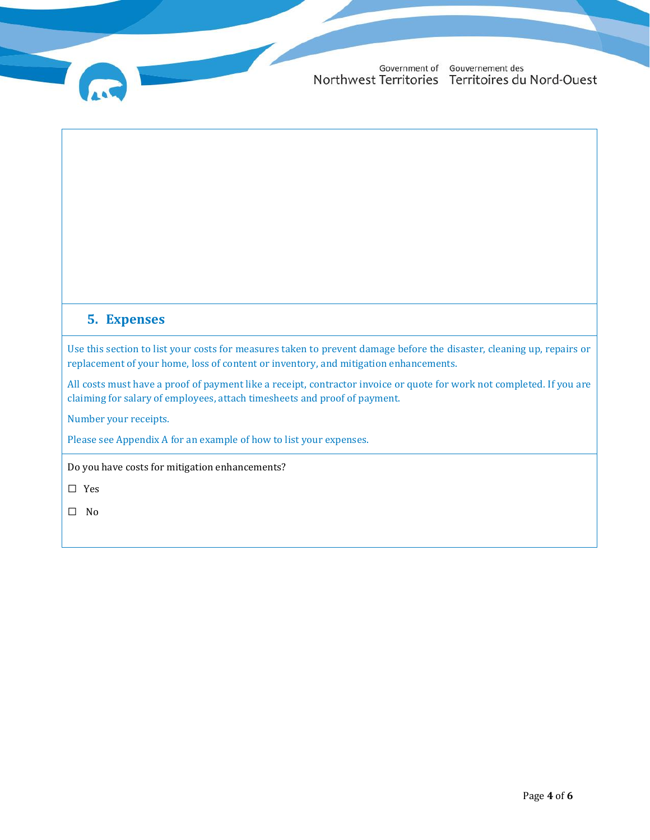Government of Gouvernement des Northwest Territories Territoires du Nord-Ouest

#### <span id="page-3-0"></span>**5. Expenses**

Use this section to list your costs for measures taken to prevent damage before the disaster, cleaning up, repairs or replacement of your home, loss of content or inventory, and mitigation enhancements.

All costs must have a proof of payment like a receipt, contractor invoice or quote for work not completed. If you are claiming for salary of employees, attach timesheets and proof of payment.

Number your receipts.

Please see Appendix A for an example of how to list your expenses.

Do you have costs for mitigation enhancements?

☐ Yes

☐ No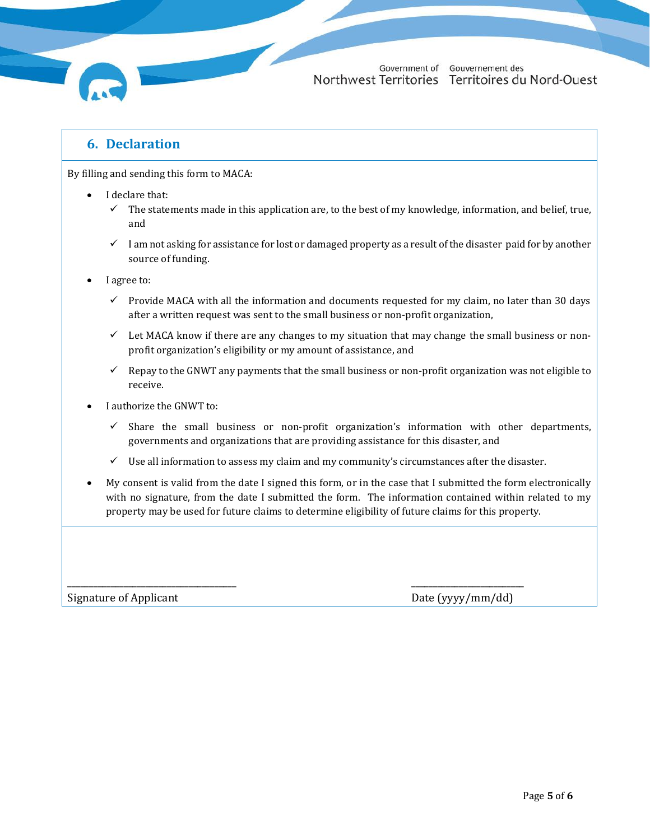

By filling and sending this form to MACA:

- I declare that:
	- $\checkmark$  The statements made in this application are, to the best of my knowledge, information, and belief, true, and
	- ✓ I am not asking for assistance for lost or damaged property as a result of the disaster paid for by another source of funding.
- I agree to:
	- $\checkmark$  Provide MACA with all the information and documents requested for my claim, no later than 30 days after a written request was sent to the small business or non-profit organization,
	- $\checkmark$  Let MACA know if there are any changes to my situation that may change the small business or nonprofit organization's eligibility or my amount of assistance, and
	- $\checkmark$  Repay to the GNWT any payments that the small business or non-profit organization was not eligible to receive.
- I authorize the GNWT to:
	- $\checkmark$  Share the small business or non-profit organization's information with other departments, governments and organizations that are providing assistance for this disaster, and
	- $\checkmark$  Use all information to assess my claim and my community's circumstances after the disaster.

\_\_\_\_\_\_\_\_\_\_\_\_\_\_\_\_\_\_\_\_\_\_\_\_\_\_\_\_\_\_\_\_\_\_\_\_\_\_\_ \_\_\_\_\_\_\_\_\_\_\_\_\_\_\_\_\_\_\_\_\_\_\_\_\_\_

• My consent is valid from the date I signed this form, or in the case that I submitted the form electronically with no signature, from the date I submitted the form. The information contained within related to my property may be used for future claims to determine eligibility of future claims for this property.

Signature of Applicant Date (yyyy/mm/dd)

Government of Gouvernement des Northwest Territories Territoires du Nord-Ouest